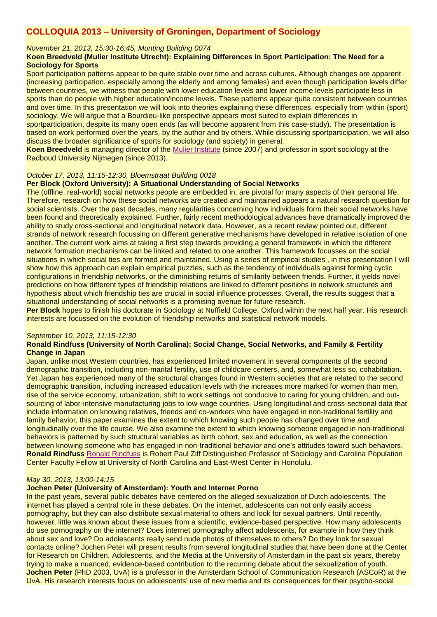# **COLLOQUIA 2013 – University of Groningen, Department of Sociology**

## *November 21, 2013, 15:30-16:45, Munting Building 0074*

# **Koen Breedveld (Mulier Institute Utrecht): Explaining Differences in Sport Participation: The Need for a Sociology for Sports**

Sport participation patterns appear to be quite stable over time and across cultures. Although changes are apparent (increasing participation, especially among the elderly and among females) and even though participation levels differ between countries, we witness that people with lower education levels and lower income levels participate less in sports than do people with higher education/income levels. These patterns appear quite consistent between countries and over time. In this presentation we will look into theories explaining these differences, especially from within (sport) sociology. We will argue that a Bourdieu-like perspective appears most suited to explain differences in

sportparticipation, despite its many open ends (as will become apparent from this case-study). The presentation is based on work performed over the years, by the author and by others. While discussing sportparticipation, we will also discuss the broader significance of sports for sociology (and society) in general.

**Koen Breedveld** is managing director of the [Mulier Institute](http://www.mulierinstituut.nl/) (since 2007) and professor in sport sociology at the Radboud University Nijmegen (since 2013).

## *October 17, 2013, 11:15-12:30, Bloemstraat Building 0018*

## **Per Block (Oxford University): A Situational Understanding of Social Networks**

The (offline, real-world) social networks people are embedded in, are pivotal for many aspects of their personal life. Therefore, research on how these social networks are created and maintained appears a natural research question for social scientists. Over the past decades, many regularities concerning how individuals form their social networks have been found and theoretically explained. Further, fairly recent methodological advances have dramatically improved the ability to study cross-sectional and longitudinal network data. However, as a recent review pointed out, different strands of network research focussing on different generative mechanisms have developed in relative isolation of one another. The current work aims at taking a first step towards providing a general framework in which the different network formation mechanisms can be linked and related to one another. This framework focusses on the social situations in which social ties are formed and maintained. Using a series of empirical studies , in this presentation I will show how this approach can explain empirical puzzles, such as the tendency of individuals against forming cyclic configurations in friendship networks, or the diminishing returns of similarity between friends. Further, it yields novel predictions on how different types of friendship relations are linked to different positions in network structures and hypothesis about which friendship ties are crucial in social influence processes. Overall, the results suggest that a situational understanding of social networks is a promising avenue for future research.

**Per Block** hopes to finish his doctorate in Sociology at Nuffield College, Oxford within the next half year. His research interests are focussed on the evolution of friendship networks and statistical network models.

#### *September 10, 2013, 11:15-12:30*

## **Ronald Rindfuss (University of North Carolina): Social Change, Social Networks, and Family & Fertility Change in Japan**

Japan, unlike most Western countries, has experienced limited movement in several components of the second demographic transition, including non-marital fertility, use of childcare centers, and, somewhat less so, cohabitation. Yet Japan has experienced many of the structural changes found in Western societies that are related to the second demographic transition, including increased education levels with the increases more marked for women than men, rise of the service economy, urbanization, shift to work settings not conducive to caring for young children, and outsourcing of labor-intensive manufacturing jobs to low-wage countries. Using longitudinal and cross-sectional data that include information on knowing relatives, friends and co-workers who have engaged in non-traditional fertility and family behavior, this paper examines the extent to which knowing such people has changed over time and longitudinally over the life course. We also examine the extent to which knowing someone engaged in non-traditional behaviors is patterned by such structural variables as birth cohort, sex and education, as well as the connection between knowing someone who has engaged in non-traditional behavior and one's attitudes toward such behaviors. **Ronald Rindfuss** [Ronald Rindfuss](http://www.unc.edu/~rindfuss/cv.html) is Robert Paul Ziff Distinguished Professor of Sociology and Carolina Population Center Faculty Fellow at University of North Carolina and East-West Center in Honolulu.

## *May 30, 2013, 13:00-14:15*

#### **Jochen Peter (University of Amsterdam): Youth and Internet Porno**

In the past years, several public debates have centered on the alleged sexualization of Dutch adolescents. The internet has played a central role in these debates. On the internet, adolescents can not only easily access pornography, but they can also distribute sexual material to others and look for sexual partners. Until recently, however, little was known about these issues from a scientific, evidence-based perspective. How many adolescents do use pornography on the internet? Does internet pornography affect adolescents, for example in how they think about sex and love? Do adolescents really send nude photos of themselves to others? Do they look for sexual contacts online? Jochen Peter will present results from several longitudinal studies that have been done at the Center for Research on Children, Adolescents, and the Media at the University of Amsterdam in the past six years, thereby trying to make a nuanced, evidence-based contribution to the recurring debate about the sexualization of youth. **Jochen Peter** (PhD 2003, UvA) is a professor in the Amsterdam School of Communication Research (ASCoR) at the UvA. His research interests focus on adolescents' use of new media and its consequences for their psycho-social